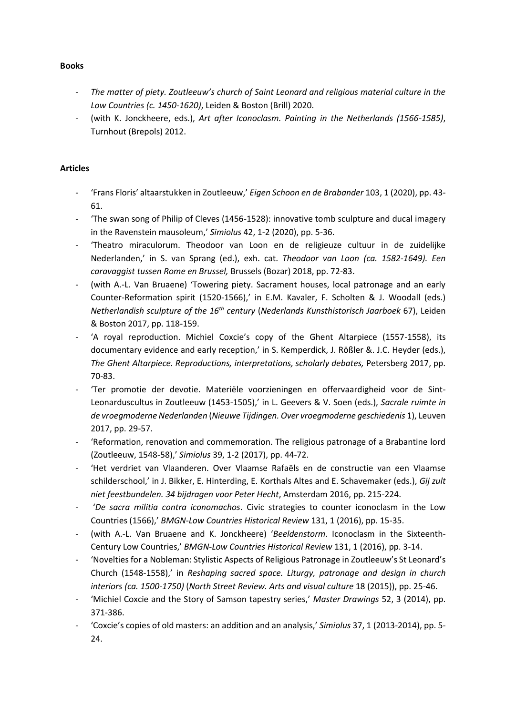# - *The matter of piety. Zoutleeuw's church of Saint Leonard and religious material culture in the Low Countries (c. 1450-1620)*, Leiden & Boston (Brill) 2020.

(with K. Jonckheere, eds.), *Art after Iconoclasm. Painting in the Netherlands (1566-1585)*, Turnhout (Brepols) 2012.

## **Articles**

- 'Frans Floris' altaarstukken in Zoutleeuw,' *Eigen Schoon en de Brabander* 103, 1 (2020), pp. 43- 61.
- 'The swan song of Philip of Cleves (1456-1528): innovative tomb sculpture and ducal imagery in the Ravenstein mausoleum,' *Simiolus* 42, 1-2 (2020), pp. 5-36.
- 'Theatro miraculorum. Theodoor van Loon en de religieuze cultuur in de zuidelijke Nederlanden,' in S. van Sprang (ed.), exh. cat. *Theodoor van Loon (ca. 1582-1649). Een caravaggist tussen Rome en Brussel,* Brussels (Bozar) 2018, pp. 72-83.
- (with A.-L. Van Bruaene) 'Towering piety. Sacrament houses, local patronage and an early Counter-Reformation spirit (1520-1566),' in E.M. Kavaler, F. Scholten & J. Woodall (eds.) *Netherlandish sculpture of the 16th century* (*Nederlands Kunsthistorisch Jaarboek* 67), Leiden & Boston 2017, pp. 118-159.
- 'A royal reproduction. Michiel Coxcie's copy of the Ghent Altarpiece (1557-1558), its documentary evidence and early reception,' in S. Kemperdick, J. Rößler &. J.C. Heyder (eds.), *The Ghent Altarpiece. Reproductions, interpretations, scholarly debates,* Petersberg 2017, pp. 70-83.
- 'Ter promotie der devotie. Materiële voorzieningen en offervaardigheid voor de Sint-Leonarduscultus in Zoutleeuw (1453-1505),' in L. Geevers & V. Soen (eds.), *Sacrale ruimte in de vroegmoderne Nederlanden* (*Nieuwe Tijdingen. Over vroegmoderne geschiedenis* 1), Leuven 2017, pp. 29-57.
- 'Reformation, renovation and commemoration. The religious patronage of a Brabantine lord (Zoutleeuw, 1548-58),' *Simiolus* 39, 1-2 (2017), pp. 44-72.
- 'Het verdriet van Vlaanderen. Over Vlaamse Rafaëls en de constructie van een Vlaamse schilderschool,' in J. Bikker, E. Hinterding, E. Korthals Altes and E. Schavemaker (eds.), *Gij zult niet feestbundelen. 34 bijdragen voor Peter Hecht*, Amsterdam 2016, pp. 215-224.
- '*De sacra militia contra iconomachos*. Civic strategies to counter iconoclasm in the Low Countries (1566),' *BMGN-Low Countries Historical Review* 131, 1 (2016), pp. 15-35.
- (with A.-L. Van Bruaene and K. Jonckheere) '*Beeldenstorm*. Iconoclasm in the Sixteenth-Century Low Countries,' *BMGN-Low Countries Historical Review* 131, 1 (2016), pp. 3-14.
- 'Novelties for a Nobleman: Stylistic Aspects of Religious Patronage in Zoutleeuw's St Leonard's Church (1548-1558),' in *Reshaping sacred space. Liturgy, patronage and design in church interiors (ca. 1500-1750)* (*North Street Review. Arts and visual culture* 18 (2015)), pp. 25-46.
- 'Michiel Coxcie and the Story of Samson tapestry series,' *Master Drawings* 52, 3 (2014), pp. 371-386.
- 'Coxcie's copies of old masters: an addition and an analysis,' *Simiolus* 37, 1 (2013-2014), pp. 5- 24.

### **Books**